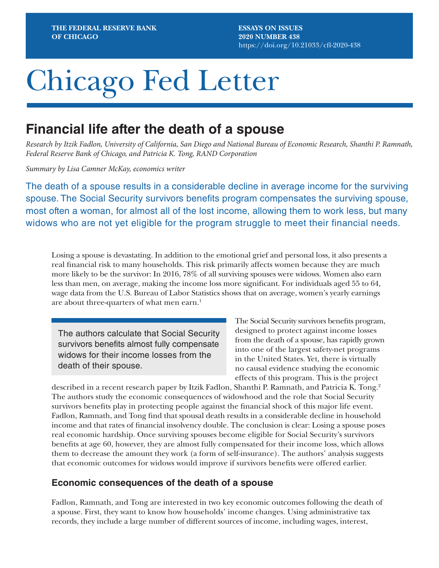**ESSAYS ON ISSUES 2020 NUMBER 438** <https://doi.org/10.21033/cfl-2020-438>

# Chicago Fed Letter

## **Financial life after the death of a spouse**

*Research by Itzik Fadlon, University of California, San Diego and National Bureau of Economic Research, Shanthi P. Ramnath, Federal Reserve Bank of Chicago, and Patricia K. Tong, RAND Corporation*

*Summary by Lisa Camner McKay, economics writer*

The death of a spouse results in a considerable decline in average income for the surviving spouse. The Social Security survivors benefits program compensates the surviving spouse, most often a woman, for almost all of the lost income, allowing them to work less, but many widows who are not yet eligible for the program struggle to meet their financial needs.

Losing a spouse is devastating. In addition to the emotional grief and personal loss, it also presents a real financial risk to many households. This risk primarily affects women because they are much more likely to be the survivor: In 2016, 78% of all surviving spouses were widows. Women also earn less than men, on average, making the income loss more significant. For individuals aged 55 to 64, wage data from the U.S. Bureau of Labor Statistics shows that on average, women's yearly earnings are about three-quarters of what men earn.<sup>1</sup>

The authors calculate that Social Security survivors benefits almost fully compensate widows for their income losses from the death of their spouse.

The Social Security survivors benefits program, designed to protect against income losses from the death of a spouse, has rapidly grown into one of the largest safety-net programs in the United States. Yet, there is virtually no causal evidence studying the economic effects of this program. This is the project

described in a recent research paper by Itzik Fadlon, Shanthi P. Ramnath, and Patricia K. Tong.2 The authors study the economic consequences of widowhood and the role that Social Security survivors benefits play in protecting people against the financial shock of this major life event. Fadlon, Ramnath, and Tong find that spousal death results in a considerable decline in household income and that rates of financial insolvency double. The conclusion is clear: Losing a spouse poses real economic hardship. Once surviving spouses become eligible for Social Security's survivors benefits at age 60, however, they are almost fully compensated for their income loss, which allows them to decrease the amount they work (a form of self-insurance). The authors' analysis suggests that economic outcomes for widows would improve if survivors benefits were offered earlier.

## **Economic consequences of the death of a spouse**

Fadlon, Ramnath, and Tong are interested in two key economic outcomes following the death of a spouse. First, they want to know how households' income changes. Using administrative tax records, they include a large number of different sources of income, including wages, interest,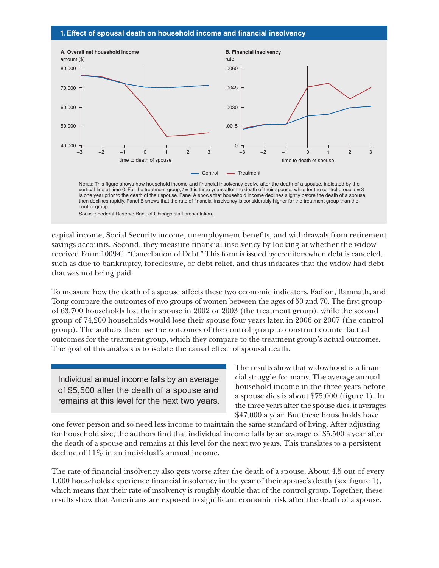#### **1. Effect of spousal death on household income and financial insolvency**



vertical line at time 0. For the treatment group,  $t = 3$  is three years after the death of their spouse, while for the control group,  $t = 3$ is one year prior to the death of their spouse. Panel A shows that household income declines slightly before the death of a spouse, then declines rapidly. Panel B shows that the rate of financial insolvency is considerably higher for the treatment group than the control group.

Source: Federal Reserve Bank of Chicago staff presentation.

capital income, Social Security income, unemployment benefits, and withdrawals from retirement savings accounts. Second, they measure financial insolvency by looking at whether the widow received Form 1009-C, "Cancellation of Debt." This form is issued by creditors when debt is canceled, such as due to bankruptcy, foreclosure, or debt relief, and thus indicates that the widow had debt that was not being paid.

To measure how the death of a spouse affects these two economic indicators, Fadlon, Ramnath, and Tong compare the outcomes of two groups of women between the ages of 50 and 70. The first group of 63,700 households lost their spouse in 2002 or 2003 (the treatment group), while the second group of 74,200 households would lose their spouse four years later, in 2006 or 2007 (the control group). The authors then use the outcomes of the control group to construct counterfactual outcomes for the treatment group, which they compare to the treatment group's actual outcomes. The goal of this analysis is to isolate the causal effect of spousal death.

Individual annual income falls by an average of \$5,500 after the death of a spouse and remains at this level for the next two years.

The results show that widowhood is a financial struggle for many. The average annual household income in the three years before a spouse dies is about \$75,000 (figure 1). In the three years after the spouse dies, it averages \$47,000 a year. But these households have

one fewer person and so need less income to maintain the same standard of living. After adjusting for household size, the authors find that individual income falls by an average of \$5,500 a year after the death of a spouse and remains at this level for the next two years. This translates to a persistent decline of 11% in an individual's annual income.

The rate of financial insolvency also gets worse after the death of a spouse. About 4.5 out of every 1,000 households experience financial insolvency in the year of their spouse's death (see figure 1), which means that their rate of insolvency is roughly double that of the control group. Together, these results show that Americans are exposed to significant economic risk after the death of a spouse.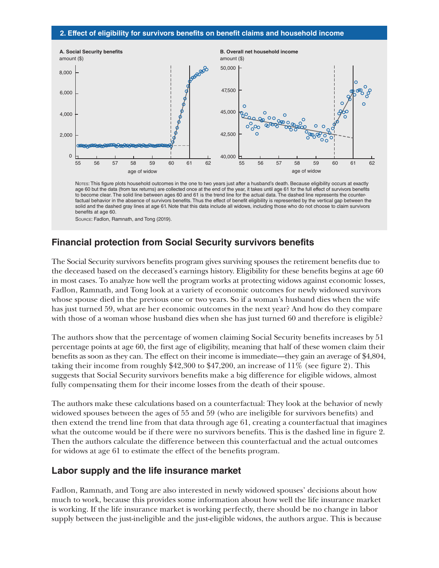#### **2. Effect of eligibility for survivors benefits on benefit claims and household income**



Notes: This figure plots household outcomes in the one to two years just after a husband's death. Because eligibility occurs at exactly age 60 but the data (from tax returns) are collected once at the end of the year, it takes until age 61 for the full effect of survivors benefits to become clear. The solid line between ages 60 and 61 is the trend line for the actual data. The dashed line represents the counterfactual behavior in the absence of survivors benefits. Thus the effect of benefit eligibility is represented by the vertical gap between the solid and the dashed gray lines at age 61. Note that this data include all widows, including those who do not choose to claim survivors benefits at age 60. Source: Fadlon, Ramnath, and Tong (2019).

## **Financial protection from Social Security survivors benefits**

The Social Security survivors benefits program gives surviving spouses the retirement benefits due to the deceased based on the deceased's earnings history. Eligibility for these benefits begins at age 60 in most cases. To analyze how well the program works at protecting widows against economic losses, Fadlon, Ramnath, and Tong look at a variety of economic outcomes for newly widowed survivors whose spouse died in the previous one or two years. So if a woman's husband dies when the wife has just turned 59, what are her economic outcomes in the next year? And how do they compare with those of a woman whose husband dies when she has just turned 60 and therefore is eligible?

The authors show that the percentage of women claiming Social Security benefits increases by 51 percentage points at age 60, the first age of eligibility, meaning that half of these women claim their benefits as soon as they can. The effect on their income is immediate—they gain an average of \$4,804, taking their income from roughly \$42,300 to \$47,200, an increase of 11% (see figure 2). This suggests that Social Security survivors benefits make a big difference for eligible widows, almost fully compensating them for their income losses from the death of their spouse.

The authors make these calculations based on a counterfactual: They look at the behavior of newly widowed spouses between the ages of 55 and 59 (who are ineligible for survivors benefits) and then extend the trend line from that data through age 61, creating a counterfactual that imagines what the outcome would be if there were no survivors benefits. This is the dashed line in figure 2. Then the authors calculate the difference between this counterfactual and the actual outcomes for widows at age 61 to estimate the effect of the benefits program.

## **Labor supply and the life insurance market**

Fadlon, Ramnath, and Tong are also interested in newly widowed spouses' decisions about how much to work, because this provides some information about how well the life insurance market is working. If the life insurance market is working perfectly, there should be no change in labor supply between the just-ineligible and the just-eligible widows, the authors argue. This is because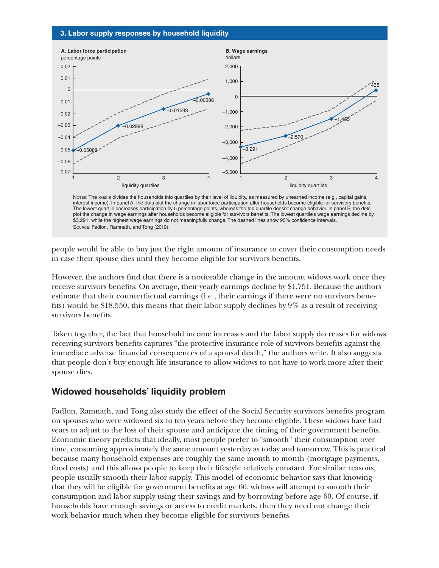#### **3. Labor supply responses by household liquidity**



The lowest quartile decreases participation by 5 percentage points, whereas the top quartile doesn't change behavior. In panel B, the dots plot the change in wage earnings after households become eligible for survivors benefits. The lowest quartile's wage earnings decline by \$3,291, while the highest wage earnings do not meaningfully change. The dashed lines show 95% confidence intervals. Source: Fadlon, Ramnath, and Tong (2019).

people would be able to buy just the right amount of insurance to cover their consumption needs in case their spouse dies until they become eligible for survivors benefits.

However, the authors find that there is a noticeable change in the amount widows work once they receive survivors benefits: On average, their yearly earnings decline by \$1,751. Because the authors estimate that their counterfactual earnings (i.e., their earnings if there were no survivors benefits) would be \$18,550, this means that their labor supply declines by 9% as a result of receiving survivors benefits.

Taken together, the fact that household income increases and the labor supply decreases for widows receiving survivors benefits captures "the protective insurance role of survivors benefits against the immediate adverse financial consequences of a spousal death," the authors write. It also suggests that people don't buy enough life insurance to allow widows to not have to work more after their spouse dies.

## **Widowed households' liquidity problem**

Fadlon, Ramnath, and Tong also study the effect of the Social Security survivors benefits program on spouses who were widowed six to ten years before they become eligible. These widows have had years to adjust to the loss of their spouse and anticipate the timing of their government benefits. Economic theory predicts that ideally, most people prefer to "smooth" their consumption over time, consuming approximately the same amount yesterday as today and tomorrow. This is practical because many household expenses are roughly the same month to month (mortgage payments, food costs) and this allows people to keep their lifestyle relatively constant. For similar reasons, people usually smooth their labor supply. This model of economic behavior says that knowing that they will be eligible for government benefits at age 60, widows will attempt to smooth their consumption and labor supply using their savings and by borrowing before age 60. Of course, if households have enough savings or access to credit markets, then they need not change their work behavior much when they become eligible for survivors benefits.